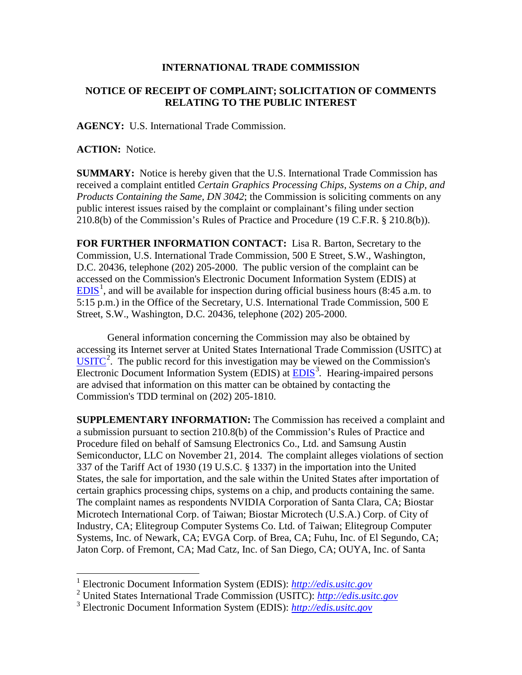## **INTERNATIONAL TRADE COMMISSION**

## **NOTICE OF RECEIPT OF COMPLAINT; SOLICITATION OF COMMENTS RELATING TO THE PUBLIC INTEREST**

**AGENCY:** U.S. International Trade Commission.

**ACTION:** Notice.

 $\overline{a}$ 

**SUMMARY:** Notice is hereby given that the U.S. International Trade Commission has received a complaint entitled *Certain Graphics Processing Chips, Systems on a Chip, and Products Containing the Same, DN 3042*; the Commission is soliciting comments on any public interest issues raised by the complaint or complainant's filing under section 210.8(b) of the Commission's Rules of Practice and Procedure (19 C.F.R. § 210.8(b)).

**FOR FURTHER INFORMATION CONTACT:** Lisa R. Barton, Secretary to the Commission, U.S. International Trade Commission, 500 E Street, S.W., Washington, D.C. 20436, telephone (202) 205-2000. The public version of the complaint can be accessed on the Commission's Electronic Document Information System (EDIS) at  $EDIS<sup>1</sup>$  $EDIS<sup>1</sup>$  $EDIS<sup>1</sup>$  $EDIS<sup>1</sup>$ , and will be available for inspection during official business hours (8:45 a.m. to 5:15 p.m.) in the Office of the Secretary, U.S. International Trade Commission, 500 E Street, S.W., Washington, D.C. 20436, telephone (202) 205-2000.

General information concerning the Commission may also be obtained by accessing its Internet server at United States International Trade Commission (USITC) at  $\overline{USTTC}^2$  $\overline{USTTC}^2$ . The public record for this investigation may be viewed on the Commission's Electronic Document Information System (EDIS) at **EDIS**<sup>[3](#page-0-2)</sup>. Hearing-impaired persons are advised that information on this matter can be obtained by contacting the Commission's TDD terminal on (202) 205-1810.

**SUPPLEMENTARY INFORMATION:** The Commission has received a complaint and a submission pursuant to section 210.8(b) of the Commission's Rules of Practice and Procedure filed on behalf of Samsung Electronics Co., Ltd. and Samsung Austin Semiconductor, LLC on November 21, 2014. The complaint alleges violations of section 337 of the Tariff Act of 1930 (19 U.S.C. § 1337) in the importation into the United States, the sale for importation, and the sale within the United States after importation of certain graphics processing chips, systems on a chip, and products containing the same. The complaint names as respondents NVIDIA Corporation of Santa Clara, CA; Biostar Microtech International Corp. of Taiwan; Biostar Microtech (U.S.A.) Corp. of City of Industry, CA; Elitegroup Computer Systems Co. Ltd. of Taiwan; Elitegroup Computer Systems, Inc. of Newark, CA; EVGA Corp. of Brea, CA; Fuhu, Inc. of El Segundo, CA; Jaton Corp. of Fremont, CA; Mad Catz, Inc. of San Diego, CA; OUYA, Inc. of Santa

<span id="page-0-0"></span><sup>1</sup> Electronic Document Information System (EDIS): *[http://edis.usitc.gov](http://edis.usitc.gov/)*

<span id="page-0-1"></span><sup>2</sup> United States International Trade Commission (USITC): *[http://edis.usitc.gov](http://edis.usitc.gov/)*

<span id="page-0-2"></span><sup>3</sup> Electronic Document Information System (EDIS): *[http://edis.usitc.gov](http://edis.usitc.gov/)*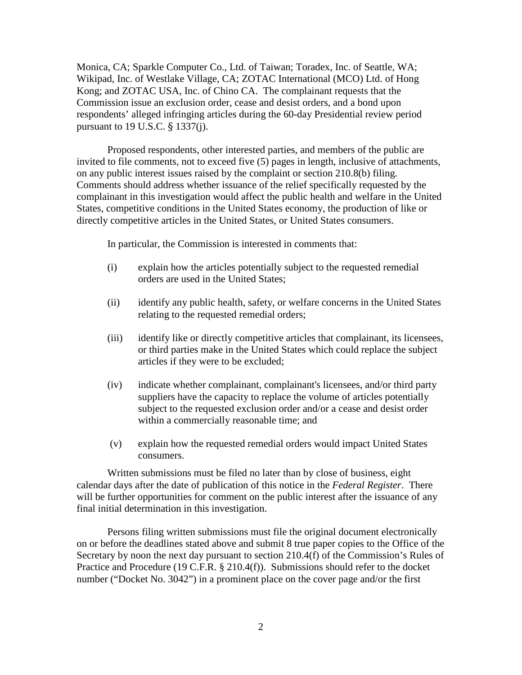Monica, CA; Sparkle Computer Co., Ltd. of Taiwan; Toradex, Inc. of Seattle, WA; Wikipad, Inc. of Westlake Village, CA; ZOTAC International (MCO) Ltd. of Hong Kong; and ZOTAC USA, Inc. of Chino CA. The complainant requests that the Commission issue an exclusion order, cease and desist orders, and a bond upon respondents' alleged infringing articles during the 60-day Presidential review period pursuant to 19 U.S.C. § 1337(j).

Proposed respondents, other interested parties, and members of the public are invited to file comments, not to exceed five (5) pages in length, inclusive of attachments, on any public interest issues raised by the complaint or section 210.8(b) filing. Comments should address whether issuance of the relief specifically requested by the complainant in this investigation would affect the public health and welfare in the United States, competitive conditions in the United States economy, the production of like or directly competitive articles in the United States, or United States consumers.

In particular, the Commission is interested in comments that:

- (i) explain how the articles potentially subject to the requested remedial orders are used in the United States;
- (ii) identify any public health, safety, or welfare concerns in the United States relating to the requested remedial orders;
- (iii) identify like or directly competitive articles that complainant, its licensees, or third parties make in the United States which could replace the subject articles if they were to be excluded;
- (iv) indicate whether complainant, complainant's licensees, and/or third party suppliers have the capacity to replace the volume of articles potentially subject to the requested exclusion order and/or a cease and desist order within a commercially reasonable time; and
- (v) explain how the requested remedial orders would impact United States consumers.

Written submissions must be filed no later than by close of business, eight calendar days after the date of publication of this notice in the *Federal Register*. There will be further opportunities for comment on the public interest after the issuance of any final initial determination in this investigation.

Persons filing written submissions must file the original document electronically on or before the deadlines stated above and submit 8 true paper copies to the Office of the Secretary by noon the next day pursuant to section 210.4(f) of the Commission's Rules of Practice and Procedure (19 C.F.R. § 210.4(f)). Submissions should refer to the docket number ("Docket No. 3042") in a prominent place on the cover page and/or the first